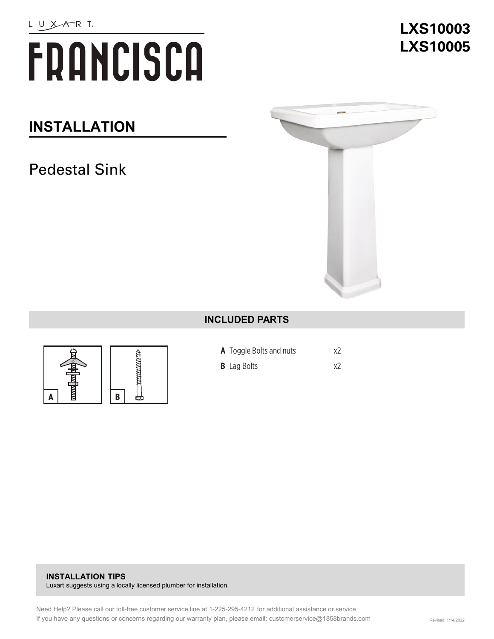# FRANCISCA

### **INSTALLATION**

## Pedestal Sink



#### **INCLUDED PARTS**





- **A** Toggle Bolts and nuts x2
- **B** Lag Bolts x2

#### **INSTALLATION TIPS**  Luxart suggests using a locally licensed plumber for installation.

# **LXS10003 LXS10005**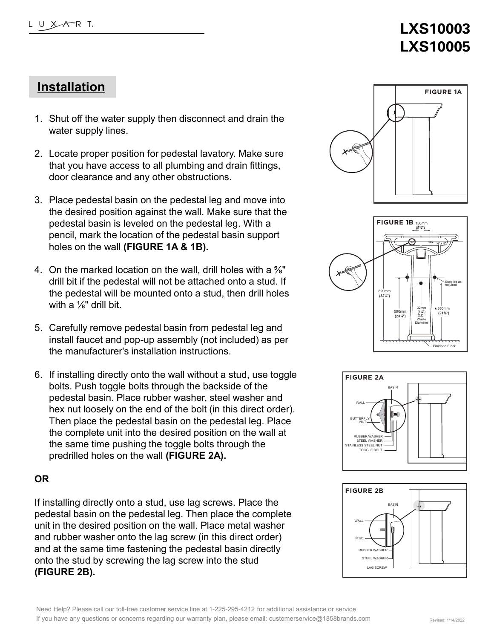# **LXS10003 LXS10005**

#### **Installation**

- 1. Shut off the water supply then disconnect and drain the water supply lines.
- 2. Locate proper position for pedestal lavatory. Make sure that you have access to all plumbing and drain fittings, door clearance and any other obstructions.
- 3. Place pedestal basin on the pedestal leg and move into the desired position against the wall. Make sure that the pedestal basin is leveled on the pedestal leg. With a pencil, mark the location of the pedestal basin support holes on the wall **(FIGURE 1A & 1B).**
- 4. On the marked location on the wall, drill holes with a ⅝" drill bit if the pedestal will not be attached onto a stud. If the pedestal will be mounted onto a stud, then drill holes with a  $\frac{1}{8}$ " drill bit.
- 5. Carefully remove pedestal basin from pedestal leg and install faucet and pop-up assembly (not included) as per the manufacturer's installation instructions.
- 6. If installing directly onto the wall without a stud, use toggle bolts. Push toggle bolts through the backside of the pedestal basin. Place rubber washer, steel washer and hex nut loosely on the end of the bolt (in this direct order). Then place the pedestal basin on the pedestal leg. Place the complete unit into the desired position on the wall at the same time pushing the toggle bolts through the predrilled holes on the wall **(FIGURE 2A).**

#### **OR**

If installing directly onto a stud, use lag screws. Place the pedestal basin on the pedestal leg. Then place the complete unit in the desired position on the wall. Place metal washer and rubber washer onto the lag screw (in this direct order) and at the same time fastening the pedestal basin directly onto the stud by screwing the lag screw into the stud **(FIGURE 2B).**







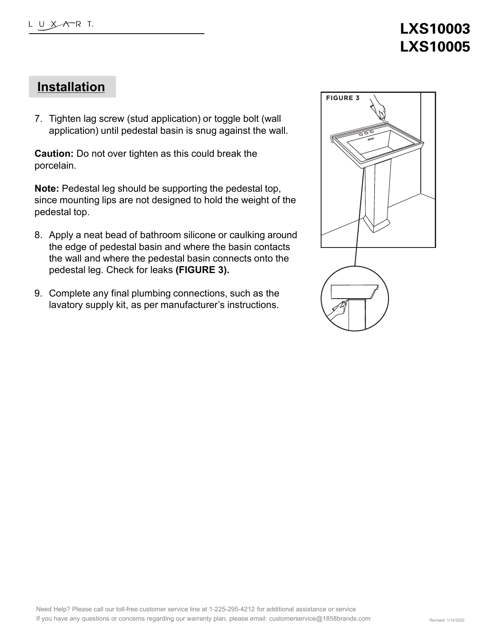## **LXS10003 LXS10005**

#### **Installation**

7. Tighten lag screw (stud application) or toggle bolt (wall application) until pedestal basin is snug against the wall.

**Caution:** Do not over tighten as this could break the porcelain.

**Note:** Pedestal leg should be supporting the pedestal top, since mounting lips are not designed to hold the weight of the pedestal top.

- 8. Apply a neat bead of bathroom silicone or caulking around the edge of pedestal basin and where the basin contacts the wall and where the pedestal basin connects onto the pedestal leg. Check for leaks **(FIGURE 3).**
- 9. Complete any final plumbing connections, such as the lavatory supply kit, as per manufacturer's instructions.